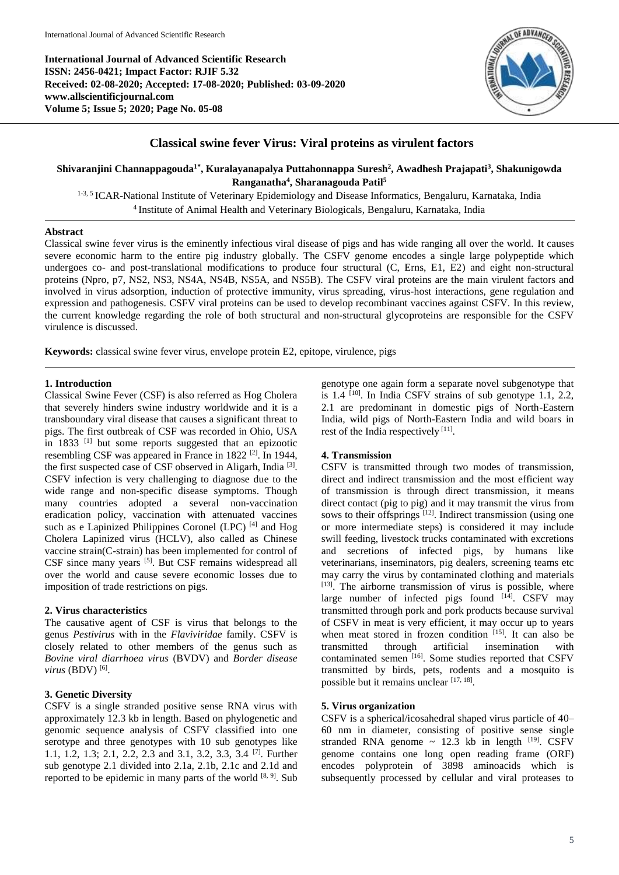**International Journal of Advanced Scientific Research ISSN: 2456-0421; Impact Factor: RJIF 5.32 Received: 02-08-2020; Accepted: 17-08-2020; Published: 03-09-2020 www.allscientificjournal.com Volume 5; Issue 5; 2020; Page No. 05-08**



# **Classical swine fever Virus: Viral proteins as virulent factors**

**Shivaranjini Channappagouda1\* , Kuralayanapalya Puttahonnappa Suresh<sup>2</sup> , Awadhesh Prajapati<sup>3</sup> , Shakunigowda Ranganatha<sup>4</sup> , Sharanagouda Patil<sup>5</sup>**

1-3, 5 ICAR-National Institute of Veterinary Epidemiology and Disease Informatics, Bengaluru, Karnataka, India 4 Institute of Animal Health and Veterinary Biologicals, Bengaluru, Karnataka, India

## **Abstract**

Classical swine fever virus is the eminently infectious viral disease of pigs and has wide ranging all over the world. It causes severe economic harm to the entire pig industry globally. The CSFV genome encodes a single large polypeptide which undergoes co- and post-translational modifications to produce four structural (C, Erns, E1, E2) and eight non-structural proteins (Npro, p7, NS2, NS3, NS4A, NS4B, NS5A, and NS5B). The CSFV viral proteins are the main virulent factors and involved in virus adsorption, induction of protective immunity, virus spreading, virus-host interactions, gene regulation and expression and pathogenesis. CSFV viral proteins can be used to develop recombinant vaccines against CSFV. In this review, the current knowledge regarding the role of both structural and non-structural glycoproteins are responsible for the CSFV virulence is discussed.

**Keywords:** classical swine fever virus, envelope protein E2, epitope, virulence, pigs

# **1. Introduction**

Classical Swine Fever (CSF) is also referred as Hog Cholera that severely hinders swine industry worldwide and it is a transboundary viral disease that causes a significant threat to pigs. The first outbreak of CSF was recorded in Ohio, USA in 1833  $[1]$  but some reports suggested that an epizootic resembling CSF was appeared in France in 1822 [2]. In 1944, the first suspected case of CSF observed in Aligarh, India<sup>[3]</sup>. CSFV infection is very challenging to diagnose due to the wide range and non-specific disease symptoms. Though many countries adopted a several non-vaccination eradication policy, vaccination with attenuated vaccines such as e Lapinized Philippines Coronel (LPC)<sup>[4]</sup> and Hog Cholera Lapinized virus (HCLV), also called as Chinese vaccine strain(C-strain) has been implemented for control of CSF since many years <sup>[5]</sup>. But CSF remains widespread all over the world and cause severe economic losses due to imposition of trade restrictions on pigs.

## **2. Virus characteristics**

The causative agent of CSF is virus that belongs to the genus *Pestivirus* with in the *Flaviviridae* family. CSFV is closely related to other members of the genus such as *Bovine viral diarrhoea virus* (BVDV) and *Border disease virus* (BDV) [6] .

# **3. Genetic Diversity**

CSFV is a single stranded positive sense RNA virus with approximately 12.3 kb in length. Based on phylogenetic and genomic sequence analysis of CSFV classified into one serotype and three genotypes with 10 sub genotypes like 1.1, 1.2, 1.3; 2.1, 2.2, 2.3 and 3.1, 3.2, 3.3, 3.4 [7] . Further sub genotype 2.1 divided into 2.1a, 2.1b, 2.1c and 2.1d and reported to be epidemic in many parts of the world  $[8, 9]$ . Sub

genotype one again form a separate novel subgenotype that is 1.4 [10]. In India CSFV strains of sub genotype 1.1, 2.2, 2.1 are predominant in domestic pigs of North-Eastern India, wild pigs of North-Eastern India and wild boars in rest of the India respectively [11].

## **4. Transmission**

CSFV is transmitted through two modes of transmission, direct and indirect transmission and the most efficient way of transmission is through direct transmission, it means direct contact (pig to pig) and it may transmit the virus from sows to their offsprings <sup>[12]</sup>. Indirect transmission (using one or more intermediate steps) is considered it may include swill feeding, livestock trucks contaminated with excretions and secretions of infected pigs, by humans like veterinarians, inseminators, pig dealers, screening teams etc may carry the virus by contaminated clothing and materials [13]. The airborne transmission of virus is possible, where large number of infected pigs found [14]. CSFV may transmitted through pork and pork products because survival of CSFV in meat is very efficient, it may occur up to years when meat stored in frozen condition [15]. It can also be transmitted through artificial insemination with contaminated semen <a>[16]</a>. Some studies reported that CSFV transmitted by birds, pets, rodents and a mosquito is possible but it remains unclear [17, 18].

# **5. Virus organization**

CSFV is a spherical/icosahedral shaped virus particle of 40– 60 nm in diameter, consisting of positive sense single stranded RNA genome  $\sim$  12.3 kb in length  $^{[19]}$ . CSFV genome contains one long open reading frame (ORF) encodes polyprotein of 3898 aminoacids which is subsequently processed by cellular and viral proteases to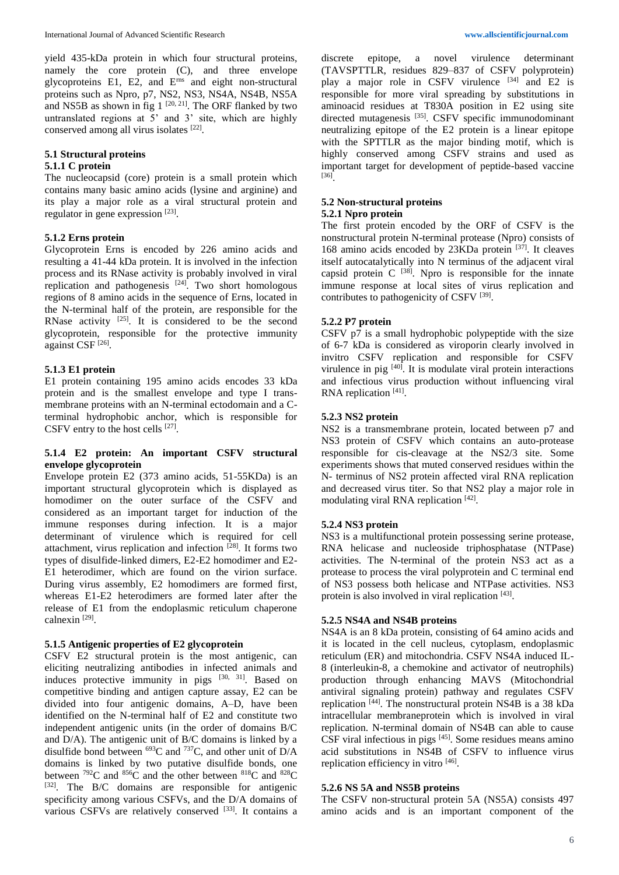yield 435-kDa protein in which four structural proteins, namely the core protein (C), and three envelope glycoproteins E1, E2, and Erns and eight non-structural proteins such as Npro, p7, NS2, NS3, NS4A, NS4B, NS5A and NS5B as shown in fig  $1^{[20, 21]}$ . The ORF flanked by two untranslated regions at  $\overline{5}$ ' and 3' site, which are highly conserved among all virus isolates [22].

# **5.1 Structural proteins**

### **5.1.1 C protein**

The nucleocapsid (core) protein is a small protein which contains many basic amino acids (lysine and arginine) and its play a major role as a viral structural protein and regulator in gene expression [23].

#### **5.1.2 Erns protein**

Glycoprotein Erns is encoded by 226 amino acids and resulting a 41-44 kDa protein. It is involved in the infection process and its RNase activity is probably involved in viral replication and pathogenesis  $[24]$ . Two short homologous regions of 8 amino acids in the sequence of Erns, located in the N-terminal half of the protein, are responsible for the RNase activity  $[25]$ . It is considered to be the second glycoprotein, responsible for the protective immunity against CSF<sup>[26]</sup>.

# **5.1.3 E1 protein**

E1 protein containing 195 amino acids encodes 33 kDa protein and is the smallest envelope and type I transmembrane proteins with an N-terminal ectodomain and a Cterminal hydrophobic anchor, which is responsible for CSFV entry to the host cells  $[27]$ .

## **5.1.4 E2 protein: An important CSFV structural envelope glycoprotein**

Envelope protein E2 (373 amino acids, 51-55KDa) is an important structural glycoprotein which is displayed as homodimer on the outer surface of the CSFV and considered as an important target for induction of the immune responses during infection. It is a major determinant of virulence which is required for cell attachment, virus replication and infection [28]. It forms two types of disulfide-linked dimers, E2-E2 homodimer and E2- E1 heterodimer, which are found on the virion surface. During virus assembly, E2 homodimers are formed first, whereas E1-E2 heterodimers are formed later after the release of E1 from the endoplasmic reticulum chaperone calnexin [29] .

### **5.1.5 Antigenic properties of E2 glycoprotein**

CSFV E2 structural protein is the most antigenic, can eliciting neutralizing antibodies in infected animals and induces protective immunity in pigs  $[30, 31]$ . Based on competitive binding and antigen capture assay, E2 can be divided into four antigenic domains, A–D, have been identified on the N-terminal half of E2 and constitute two independent antigenic units (in the order of domains B/C and D/A). The antigenic unit of B/C domains is linked by a disulfide bond between  $^{693}$ C and  $^{737}$ C, and other unit of D/A domains is linked by two putative disulfide bonds, one between  $792C$  and  $856C$  and the other between  $818C$  and  $828C$ [32]. The B/C domains are responsible for antigenic specificity among various CSFVs, and the D/A domains of various CSFVs are relatively conserved [33]. It contains a

discrete epitope, a novel virulence determinant (TAVSPTTLR, residues 829–837 of CSFV polyprotein) play a major role in CSFV virulence  $[34]$  and E2 is responsible for more viral spreading by substitutions in aminoacid residues at T830A position in E2 using site directed mutagenesis<sup>[35]</sup>. CSFV specific immunodominant neutralizing epitope of the E2 protein is a linear epitope with the SPTTLR as the major binding motif, which is highly conserved among CSFV strains and used as important target for development of peptide-based vaccine [36] .

# **5.2 Non-structural proteins**

# **5.2.1 Npro protein**

The first protein encoded by the ORF of CSFV is the nonstructural protein N-terminal protease (Npro) consists of 168 amino acids encoded by 23KDa protein [37]. It cleaves itself autocatalytically into N terminus of the adjacent viral capsid protein  $C^{[38]}$ . Npro is responsible for the innate immune response at local sites of virus replication and contributes to pathogenicity of CSFV<sup>[39]</sup>.

#### **5.2.2 P7 protein**

CSFV p7 is a small hydrophobic polypeptide with the size of 6-7 kDa is considered as viroporin clearly involved in invitro CSFV replication and responsible for CSFV virulence in pig [40]. It is modulate viral protein interactions and infectious virus production without influencing viral RNA replication [41].

## **5.2.3 NS2 protein**

NS2 is a transmembrane protein, located between p7 and NS3 protein of CSFV which contains an auto-protease responsible for cis-cleavage at the NS2/3 site. Some experiments shows that muted conserved residues within the N- terminus of NS2 protein affected viral RNA replication and decreased virus titer. So that NS2 play a major role in modulating viral RNA replication [42].

#### **5.2.4 NS3 protein**

NS3 is a multifunctional protein possessing serine protease, RNA helicase and nucleoside triphosphatase (NTPase) activities. The N-terminal of the protein NS3 act as a protease to process the viral polyprotein and C terminal end of NS3 possess both helicase and NTPase activities. NS3 protein is also involved in viral replication [43].

# **5.2.5 NS4A and NS4B proteins**

NS4A is an 8 kDa protein, consisting of 64 amino acids and it is located in the cell nucleus, cytoplasm, endoplasmic reticulum (ER) and mitochondria. CSFV NS4A induced IL-8 (interleukin-8, a chemokine and activator of neutrophils) production through enhancing MAVS (Mitochondrial antiviral signaling protein) pathway and regulates CSFV replication [44] . The nonstructural protein NS4B is a 38 kDa intracellular membraneprotein which is involved in viral replication. N-terminal domain of NS4B can able to cause CSF viral infectious in pigs  $[45]$ . Some residues means amino acid substitutions in NS4B of CSFV to influence virus replication efficiency in vitro [46].

#### **5.2.6 NS 5A and NS5B proteins**

The CSFV non-structural protein 5A (NS5A) consists 497 amino acids and is an important component of the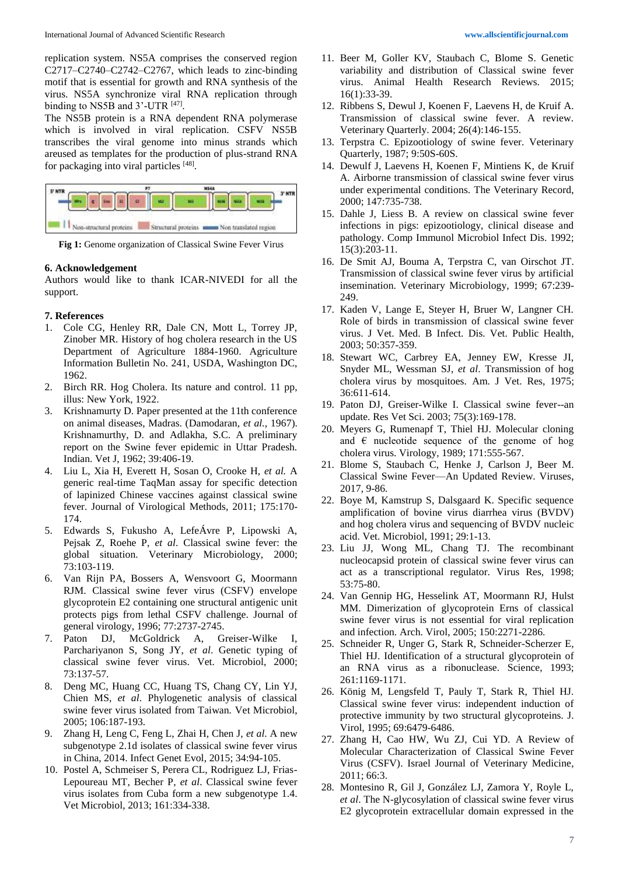replication system. NS5A comprises the conserved region C2717–C2740–C2742–C2767, which leads to zinc-binding motif that is essential for growth and RNA synthesis of the virus. NS5A synchronize viral RNA replication through binding to NS5B and  $3'$ -UTR  $^{[47]}$ .

The NS5B protein is a RNA dependent RNA polymerase which is involved in viral replication. CSFV NS5B transcribes the viral genome into minus strands which areused as templates for the production of plus-strand RNA for packaging into viral particles [48].



**Fig 1:** Genome organization of Classical Swine Fever Virus

#### **6. Acknowledgement**

Authors would like to thank ICAR-NIVEDI for all the support.

#### **7. References**

- 1. Cole CG, Henley RR, Dale CN, Mott L, Torrey JP, Zinober MR. History of hog cholera research in the US Department of Agriculture 1884-1960. Agriculture Information Bulletin No. 241, USDA, Washington DC, 1962.
- 2. Birch RR. Hog Cholera. Its nature and control. 11 pp, illus: New York, 1922.
- 3. Krishnamurty D. Paper presented at the 11th conference on animal diseases, Madras. (Damodaran, *et al.,* 1967). Krishnamurthy, D. and Adlakha, S.C. A preliminary report on the Swine fever epidemic in Uttar Pradesh. Indian. Vet J, 1962; 39:406-19.
- 4. Liu L, Xia H, Everett H, Sosan O, Crooke H, *et al.* A generic real-time TaqMan assay for specific detection of lapinized Chinese vaccines against classical swine fever. Journal of Virological Methods, 2011; 175:170- 174.
- 5. Edwards S, Fukusho A, LefeÁvre P, Lipowski A, Pejsak Z, Roehe P, *et al*. Classical swine fever: the global situation. Veterinary Microbiology, 2000; 73:103-119.
- 6. Van Rijn PA, Bossers A, Wensvoort G, Moormann RJM. Classical swine fever virus (CSFV) envelope glycoprotein E2 containing one structural antigenic unit protects pigs from lethal CSFV challenge. Journal of general virology, 1996; 77:2737-2745.
- 7. Paton DJ, McGoldrick A, Greiser-Wilke I, Parchariyanon S, Song JY, *et al*. Genetic typing of classical swine fever virus. Vet. Microbiol, 2000; 73:137-57.
- 8. Deng MC, Huang CC, Huang TS, Chang CY, Lin YJ, Chien MS, *et al*. Phylogenetic analysis of classical swine fever virus isolated from Taiwan*.* Vet Microbiol, 2005; 106:187-193.
- 9. Zhang H, Leng C, Feng L, Zhai H, Chen J, *et al*. A new subgenotype 2.1d isolates of classical swine fever virus in China, 2014. Infect Genet Evol, 2015; 34:94-105.
- 10. Postel A, Schmeiser S, Perera CL, Rodriguez LJ, Frias-Lepoureau MT, Becher P, *et al*. Classical swine fever virus isolates from Cuba form a new subgenotype 1.4. Vet Microbiol, 2013; 161:334-338.
- 11. Beer M, Goller KV, Staubach C, Blome S. Genetic variability and distribution of Classical swine fever virus. Animal Health Research Reviews. 2015; 16(1):33-39.
- 12. Ribbens S, Dewul J, Koenen F, Laevens H, de Kruif A. Transmission of classical swine fever. A review. Veterinary Quarterly. 2004; 26(4):146-155.
- 13. Terpstra C. Epizootiology of swine fever. Veterinary Quarterly, 1987; 9:50S-60S.
- 14. Dewulf J, Laevens H, Koenen F, Mintiens K, de Kruif A. Airborne transmission of classical swine fever virus under experimental conditions. The Veterinary Record, 2000; 147:735-738.
- 15. Dahle J, Liess B. A review on classical swine fever infections in pigs: epizootiology, clinical disease and pathology. Comp Immunol Microbiol Infect Dis. 1992; 15(3):203-11.
- 16. De Smit AJ, Bouma A, Terpstra C, van Oirschot JT. Transmission of classical swine fever virus by artificial insemination. Veterinary Microbiology, 1999; 67:239- 249.
- 17. Kaden V, Lange E, Steyer H, Bruer W, Langner CH. Role of birds in transmission of classical swine fever virus. J Vet. Med. B Infect. Dis. Vet. Public Health, 2003; 50:357-359.
- 18. Stewart WC, Carbrey EA, Jenney EW, Kresse JI, Snyder ML, Wessman SJ, *et al*. Transmission of hog cholera virus by mosquitoes. Am. J Vet. Res, 1975; 36:611-614.
- 19. Paton DJ, Greiser-Wilke I. Classical swine fever--an update. Res Vet Sci. 2003; 75(3):169-178.
- 20. Meyers G, Rumenapf T, Thiel HJ. Molecular cloning and  $\epsilon$  nucleotide sequence of the genome of hog cholera virus. Virology, 1989; 171:555-567.
- 21. Blome S, Staubach C, Henke J, Carlson J, Beer M. Classical Swine Fever—An Updated Review. Viruses, 2017, 9-86.
- 22. Boye M, Kamstrup S, Dalsgaard K. Specific sequence amplification of bovine virus diarrhea virus (BVDV) and hog cholera virus and sequencing of BVDV nucleic acid. Vet. Microbiol, 1991; 29:1-13.
- 23. Liu JJ, Wong ML, Chang TJ. The recombinant nucleocapsid protein of classical swine fever virus can act as a transcriptional regulator. Virus Res, 1998; 53:75-80.
- 24. Van Gennip HG, Hesselink AT, Moormann RJ, Hulst MM. Dimerization of glycoprotein Erns of classical swine fever virus is not essential for viral replication and infection. Arch. Virol, 2005; 150:2271-2286.
- 25. Schneider R, Unger G, Stark R, Schneider-Scherzer E, Thiel HJ. Identification of a structural glycoprotein of an RNA virus as a ribonuclease. Science, 1993; 261:1169-1171.
- 26. König M, Lengsfeld T, Pauly T, Stark R, Thiel HJ. Classical swine fever virus: independent induction of protective immunity by two structural glycoproteins*.* J. Virol, 1995; 69:6479-6486.
- 27. Zhang H, Cao HW, Wu ZJ, Cui YD. A Review of Molecular Characterization of Classical Swine Fever Virus (CSFV). Israel Journal of Veterinary Medicine, 2011; 66:3.
- 28. Montesino R, Gil J, González LJ, Zamora Y, Royle L, *et al*. The N-glycosylation of classical swine fever virus E2 glycoprotein extracellular domain expressed in the